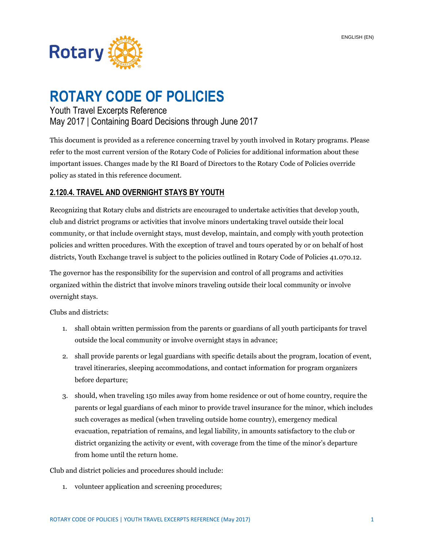

# **ROTARY CODE OF POLICIES**

## Youth Travel Excerpts Reference May 2017 | Containing Board Decisions through June 2017

This document is provided as a reference concerning travel by youth involved in Rotary programs. Please refer to the most current version of the Rotary Code of Policies for additional information about these important issues. Changes made by the RI Board of Directors to the Rotary Code of Policies override policy as stated in this reference document.

### **2.120.4. TRAVEL AND OVERNIGHT STAYS BY YOUTH**

Recognizing that Rotary clubs and districts are encouraged to undertake activities that develop youth, club and district programs or activities that involve minors undertaking travel outside their local community, or that include overnight stays, must develop, maintain, and comply with youth protection policies and written procedures. With the exception of travel and tours operated by or on behalf of host districts, Youth Exchange travel is subject to the policies outlined in Rotary Code of Policies 41.070.12.

The governor has the responsibility for the supervision and control of all programs and activities organized within the district that involve minors traveling outside their local community or involve overnight stays.

Clubs and districts:

- 1. shall obtain written permission from the parents or guardians of all youth participants for travel outside the local community or involve overnight stays in advance;
- 2. shall provide parents or legal guardians with specific details about the program, location of event, travel itineraries, sleeping accommodations, and contact information for program organizers before departure;
- 3. should, when traveling 150 miles away from home residence or out of home country, require the parents or legal guardians of each minor to provide travel insurance for the minor, which includes such coverages as medical (when traveling outside home country), emergency medical evacuation, repatriation of remains, and legal liability, in amounts satisfactory to the club or district organizing the activity or event, with coverage from the time of the minor's departure from home until the return home.

Club and district policies and procedures should include:

1. volunteer application and screening procedures;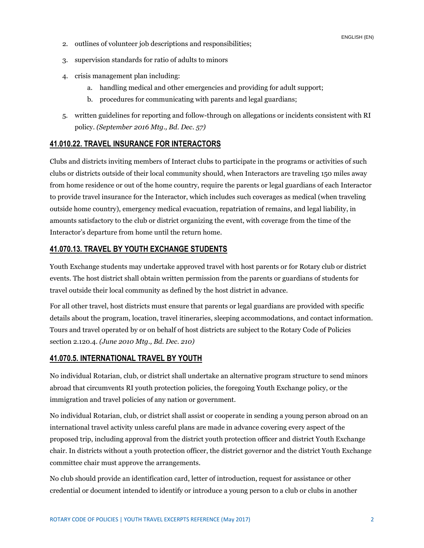ENGLISH (EN)

- 2. outlines of volunteer job descriptions and responsibilities;
- 3. supervision standards for ratio of adults to minors
- 4. crisis management plan including:
	- a. handling medical and other emergencies and providing for adult support;
	- b. procedures for communicating with parents and legal guardians;
- 5. written guidelines for reporting and follow-through on allegations or incidents consistent with RI policy. *(September 2016 Mtg., Bd. Dec. 57)*

### **41.010.22. TRAVEL INSURANCE FOR INTERACTORS**

Clubs and districts inviting members of Interact clubs to participate in the programs or activities of such clubs or districts outside of their local community should, when Interactors are traveling 150 miles away from home residence or out of the home country, require the parents or legal guardians of each Interactor to provide travel insurance for the Interactor, which includes such coverages as medical (when traveling outside home country), emergency medical evacuation, repatriation of remains, and legal liability, in amounts satisfactory to the club or district organizing the event, with coverage from the time of the Interactor's departure from home until the return home.

#### **41.070.13. TRAVEL BY YOUTH EXCHANGE STUDENTS**

Youth Exchange students may undertake approved travel with host parents or for Rotary club or district events. The host district shall obtain written permission from the parents or guardians of students for travel outside their local community as defined by the host district in advance.

For all other travel, host districts must ensure that parents or legal guardians are provided with specific details about the program, location, travel itineraries, sleeping accommodations, and contact information. Tours and travel operated by or on behalf of host districts are subject to the Rotary Code of Policies section 2.120.4. *(June 2010 Mtg., Bd. Dec. 210)* 

#### **41.070.5. INTERNATIONAL TRAVEL BY YOUTH**

No individual Rotarian, club, or district shall undertake an alternative program structure to send minors abroad that circumvents RI youth protection policies, the foregoing Youth Exchange policy, or the immigration and travel policies of any nation or government.

No individual Rotarian, club, or district shall assist or cooperate in sending a young person abroad on an international travel activity unless careful plans are made in advance covering every aspect of the proposed trip, including approval from the district youth protection officer and district Youth Exchange chair. In districts without a youth protection officer, the district governor and the district Youth Exchange committee chair must approve the arrangements.

No club should provide an identification card, letter of introduction, request for assistance or other credential or document intended to identify or introduce a young person to a club or clubs in another